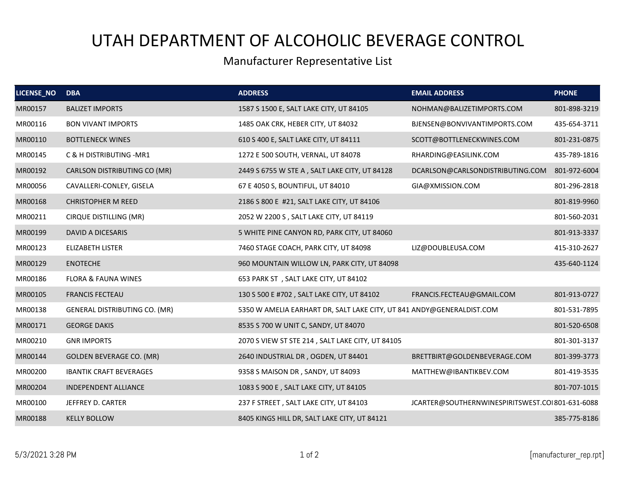## UTAH DEPARTMENT OF ALCOHOLIC BEVERAGE CONTROL

## Manufacturer Representative List

| LICENSE_NO | <b>DBA</b>                           | <b>ADDRESS</b>                                                        | <b>EMAIL ADDRESS</b>                            | <b>PHONE</b> |
|------------|--------------------------------------|-----------------------------------------------------------------------|-------------------------------------------------|--------------|
| MR00157    | <b>BALIZET IMPORTS</b>               | 1587 S 1500 E, SALT LAKE CITY, UT 84105                               | NOHMAN@BALIZETIMPORTS.COM                       | 801-898-3219 |
| MR00116    | <b>BON VIVANT IMPORTS</b>            | 1485 OAK CRK, HEBER CITY, UT 84032                                    | BJENSEN@BONVIVANTIMPORTS.COM                    | 435-654-3711 |
| MR00110    | <b>BOTTLENECK WINES</b>              | 610 S 400 E, SALT LAKE CITY, UT 84111                                 | SCOTT@BOTTLENECKWINES.COM                       | 801-231-0875 |
| MR00145    | C & H DISTRIBUTING - MR1             | 1272 E 500 SOUTH, VERNAL, UT 84078                                    | RHARDING@EASILINK.COM                           | 435-789-1816 |
| MR00192    | CARLSON DISTRIBUTING CO (MR)         | 2449 S 6755 W STE A, SALT LAKE CITY, UT 84128                         | DCARLSON@CARLSONDISTRIBUTING.COM                | 801-972-6004 |
| MR00056    | CAVALLERI-CONLEY, GISELA             | 67 E 4050 S, BOUNTIFUL, UT 84010                                      | GIA@XMISSION.COM                                | 801-296-2818 |
| MR00168    | <b>CHRISTOPHER M REED</b>            | 2186 S 800 E #21, SALT LAKE CITY, UT 84106                            |                                                 | 801-819-9960 |
| MR00211    | CIRQUE DISTILLING (MR)               | 2052 W 2200 S, SALT LAKE CITY, UT 84119                               |                                                 | 801-560-2031 |
| MR00199    | DAVID A DICESARIS                    | 5 WHITE PINE CANYON RD, PARK CITY, UT 84060                           |                                                 | 801-913-3337 |
| MR00123    | <b>ELIZABETH LISTER</b>              | 7460 STAGE COACH, PARK CITY, UT 84098                                 | LIZ@DOUBLEUSA.COM                               | 415-310-2627 |
| MR00129    | <b>ENOTECHE</b>                      | 960 MOUNTAIN WILLOW LN, PARK CITY, UT 84098                           |                                                 | 435-640-1124 |
| MR00186    | <b>FLORA &amp; FAUNA WINES</b>       | 653 PARK ST, SALT LAKE CITY, UT 84102                                 |                                                 |              |
| MR00105    | <b>FRANCIS FECTEAU</b>               | 130 S 500 E #702, SALT LAKE CITY, UT 84102                            | FRANCIS.FECTEAU@GMAIL.COM                       | 801-913-0727 |
| MR00138    | <b>GENERAL DISTRIBUTING CO. (MR)</b> | 5350 W AMELIA EARHART DR, SALT LAKE CITY, UT 841 ANDY@GENERALDIST.COM |                                                 | 801-531-7895 |
| MR00171    | <b>GEORGE DAKIS</b>                  | 8535 S 700 W UNIT C, SANDY, UT 84070                                  |                                                 | 801-520-6508 |
| MR00210    | <b>GNR IMPORTS</b>                   | 2070 S VIEW ST STE 214, SALT LAKE CITY, UT 84105                      |                                                 | 801-301-3137 |
| MR00144    | <b>GOLDEN BEVERAGE CO. (MR)</b>      | 2640 INDUSTRIAL DR, OGDEN, UT 84401                                   | BRETTBIRT@GOLDENBEVERAGE.COM                    | 801-399-3773 |
| MR00200    | <b>IBANTIK CRAFT BEVERAGES</b>       | 9358 S MAISON DR, SANDY, UT 84093                                     | MATTHEW@IBANTIKBEV.COM                          | 801-419-3535 |
| MR00204    | <b>INDEPENDENT ALLIANCE</b>          | 1083 S 900 E, SALT LAKE CITY, UT 84105                                |                                                 | 801-707-1015 |
| MR00100    | JEFFREY D. CARTER                    | 237 F STREET, SALT LAKE CITY, UT 84103                                | JCARTER@SOUTHERNWINESPIRITSWEST.COI801-631-6088 |              |
| MR00188    | <b>KELLY BOLLOW</b>                  | 8405 KINGS HILL DR, SALT LAKE CITY, UT 84121                          |                                                 | 385-775-8186 |